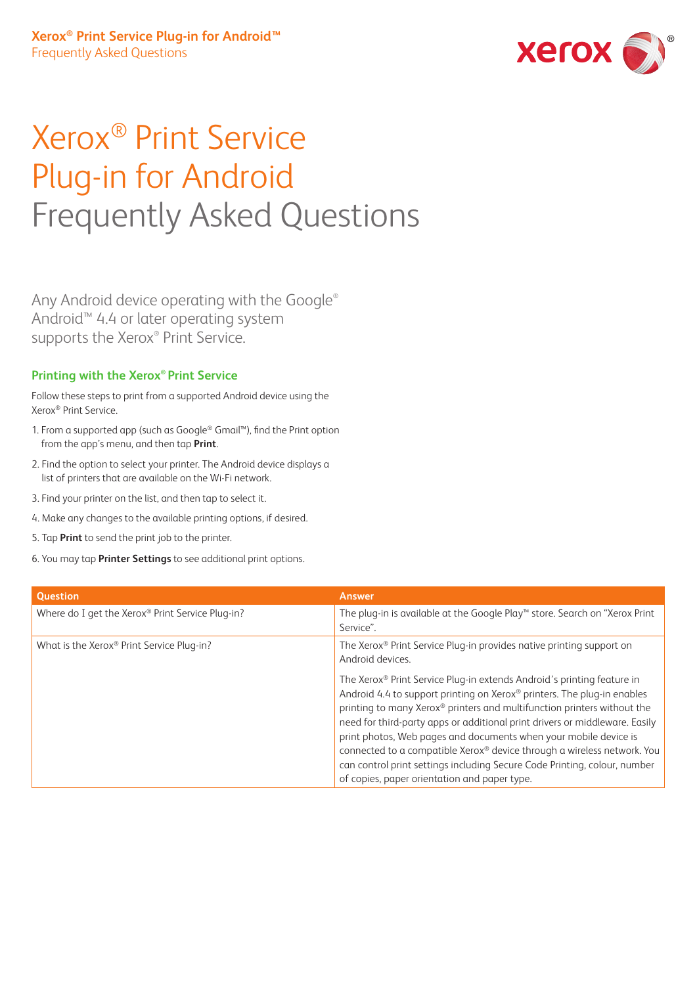

# Xerox® Print Service Plug-in for Android Frequently Asked Questions

Any Android device operating with the Google® Android™ 4.4 or later operating system supports the Xerox® Print Service.

#### **Printing with the Xerox® Print Service**

Follow these steps to print from a supported Android device using the Xerox® Print Service.

- 1. From a supported app (such as Google® Gmail™), find the Print option from the app's menu, and then tap **Print**.
- 2. Find the option to select your printer. The Android device displays a list of printers that are available on the Wi-Fi network.
- 3. Find your printer on the list, and then tap to select it.
- 4. Make any changes to the available printing options, if desired.
- 5. Tap **Print** to send the print job to the printer.
- 6. You may tap **Printer Settings** to see additional print options.

| <b>Question</b>                                  | <b>Answer</b>                                                                                                                                                                                                                                                                                                                                                                                                                                                                                                                                                                           |
|--------------------------------------------------|-----------------------------------------------------------------------------------------------------------------------------------------------------------------------------------------------------------------------------------------------------------------------------------------------------------------------------------------------------------------------------------------------------------------------------------------------------------------------------------------------------------------------------------------------------------------------------------------|
| Where do I get the Xerox® Print Service Plug-in? | The plug-in is available at the Google Play™ store. Search on "Xerox Print<br>Service".                                                                                                                                                                                                                                                                                                                                                                                                                                                                                                 |
| What is the Xerox® Print Service Plug-in?        | The Xerox <sup>®</sup> Print Service Plug-in provides native printing support on<br>Android devices.                                                                                                                                                                                                                                                                                                                                                                                                                                                                                    |
|                                                  | The Xerox® Print Service Plug-in extends Android's printing feature in<br>Android 4.4 to support printing on Xerox® printers. The plug-in enables<br>printing to many Xerox® printers and multifunction printers without the<br>need for third-party apps or additional print drivers or middleware. Easily<br>print photos, Web pages and documents when your mobile device is<br>connected to a compatible Xerox® device through a wireless network. You<br>can control print settings including Secure Code Printing, colour, number<br>of copies, paper orientation and paper type. |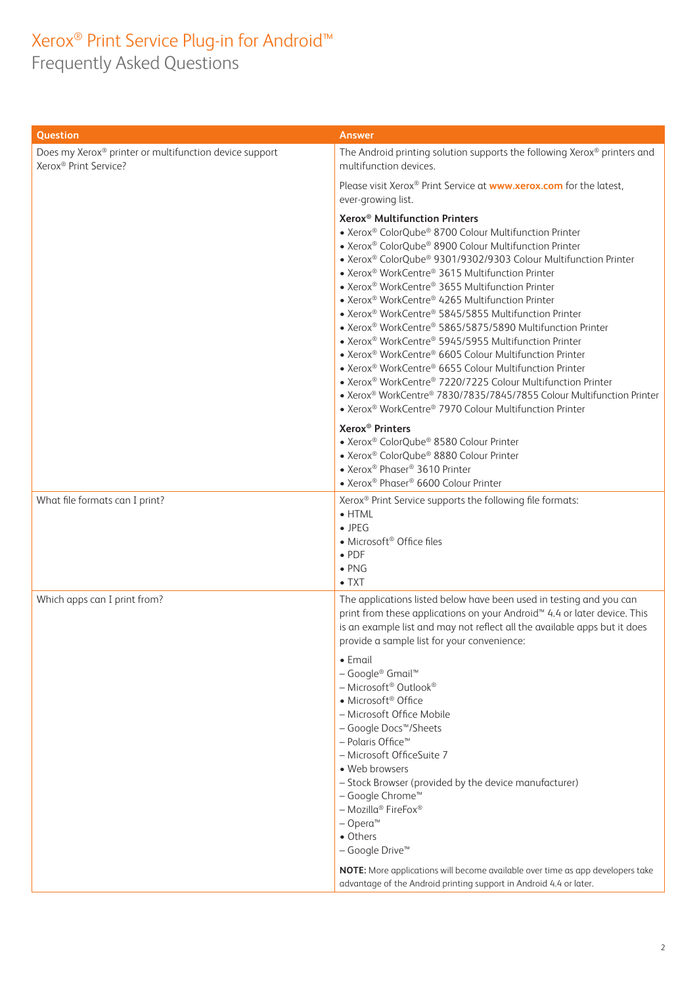## Xerox® Print Service Plug-in for Android™

Frequently Asked Questions

| Question                                                                                    | <b>Answer</b>                                                                                                                                                                                                                                                                                                                                                                                                                                                                                                                                                                                                                                                                                                                                                                                                                                                                                                                                                      |
|---------------------------------------------------------------------------------------------|--------------------------------------------------------------------------------------------------------------------------------------------------------------------------------------------------------------------------------------------------------------------------------------------------------------------------------------------------------------------------------------------------------------------------------------------------------------------------------------------------------------------------------------------------------------------------------------------------------------------------------------------------------------------------------------------------------------------------------------------------------------------------------------------------------------------------------------------------------------------------------------------------------------------------------------------------------------------|
| Does my Xerox® printer or multifunction device support<br>Xerox <sup>®</sup> Print Service? | The Android printing solution supports the following Xerox® printers and<br>multifunction devices.                                                                                                                                                                                                                                                                                                                                                                                                                                                                                                                                                                                                                                                                                                                                                                                                                                                                 |
|                                                                                             | Please visit Xerox® Print Service at www.xerox.com for the latest,<br>ever-growing list.                                                                                                                                                                                                                                                                                                                                                                                                                                                                                                                                                                                                                                                                                                                                                                                                                                                                           |
|                                                                                             | Xerox <sup>®</sup> Multifunction Printers<br>• Xerox® ColorQube® 8700 Colour Multifunction Printer<br>• Xerox® ColorQube® 8900 Colour Multifunction Printer<br>• Xerox® ColorQube® 9301/9302/9303 Colour Multifunction Printer<br>• Xerox® WorkCentre® 3615 Multifunction Printer<br>• Xerox® WorkCentre® 3655 Multifunction Printer<br>• Xerox <sup>®</sup> WorkCentre® 4265 Multifunction Printer<br>• Xerox <sup>®</sup> WorkCentre® 5845/5855 Multifunction Printer<br>• Xerox® WorkCentre® 5865/5875/5890 Multifunction Printer<br>• Xerox <sup>®</sup> WorkCentre® 5945/5955 Multifunction Printer<br>• Xerox <sup>®</sup> WorkCentre® 6605 Colour Multifunction Printer<br>• Xerox <sup>®</sup> WorkCentre® 6655 Colour Multifunction Printer<br>• Xerox® WorkCentre® 7220/7225 Colour Multifunction Printer<br>• Xerox® WorkCentre® 7830/7835/7845/7855 Colour Multifunction Printer<br>• Xerox <sup>®</sup> WorkCentre® 7970 Colour Multifunction Printer |
|                                                                                             | Xerox <sup>®</sup> Printers<br>• Xerox® ColorQube® 8580 Colour Printer<br>• Xerox® ColorQube® 8880 Colour Printer<br>• Xerox® Phaser® 3610 Printer<br>• Xerox <sup>®</sup> Phaser® 6600 Colour Printer                                                                                                                                                                                                                                                                                                                                                                                                                                                                                                                                                                                                                                                                                                                                                             |
| What file formats can I print?                                                              | Xerox <sup>®</sup> Print Service supports the following file formats:<br>$\bullet$ HTML<br>$\bullet$ JPEG<br>• Microsoft <sup>®</sup> Office files<br>$\bullet$ PDF<br>$\bullet$ PNG<br>$\bullet$ TXT                                                                                                                                                                                                                                                                                                                                                                                                                                                                                                                                                                                                                                                                                                                                                              |
| Which apps can I print from?                                                                | The applications listed below have been used in testing and you can<br>print from these applications on your Android™ 4.4 or later device. This<br>is an example list and may not reflect all the available apps but it does<br>provide a sample list for your convenience:                                                                                                                                                                                                                                                                                                                                                                                                                                                                                                                                                                                                                                                                                        |
|                                                                                             | $\bullet$ Email<br>- Google® Gmail™<br>- Microsoft® Outlook®<br>• Microsoft <sup>®</sup> Office<br>- Microsoft Office Mobile<br>- Google Docs™/Sheets<br>- Polaris Office <sup>™</sup><br>- Microsoft OfficeSuite 7<br>• Web browsers<br>- Stock Browser (provided by the device manufacturer)<br>- Google Chrome™<br>- Mozilla <sup>®</sup> FireFox <sup>®</sup><br>$-$ Opera <sup>m</sup><br>• Others<br>- Google Drive <sup>™</sup><br>NOTE: More applications will become available over time as app developers take                                                                                                                                                                                                                                                                                                                                                                                                                                           |
|                                                                                             | advantage of the Android printing support in Android 4.4 or later.                                                                                                                                                                                                                                                                                                                                                                                                                                                                                                                                                                                                                                                                                                                                                                                                                                                                                                 |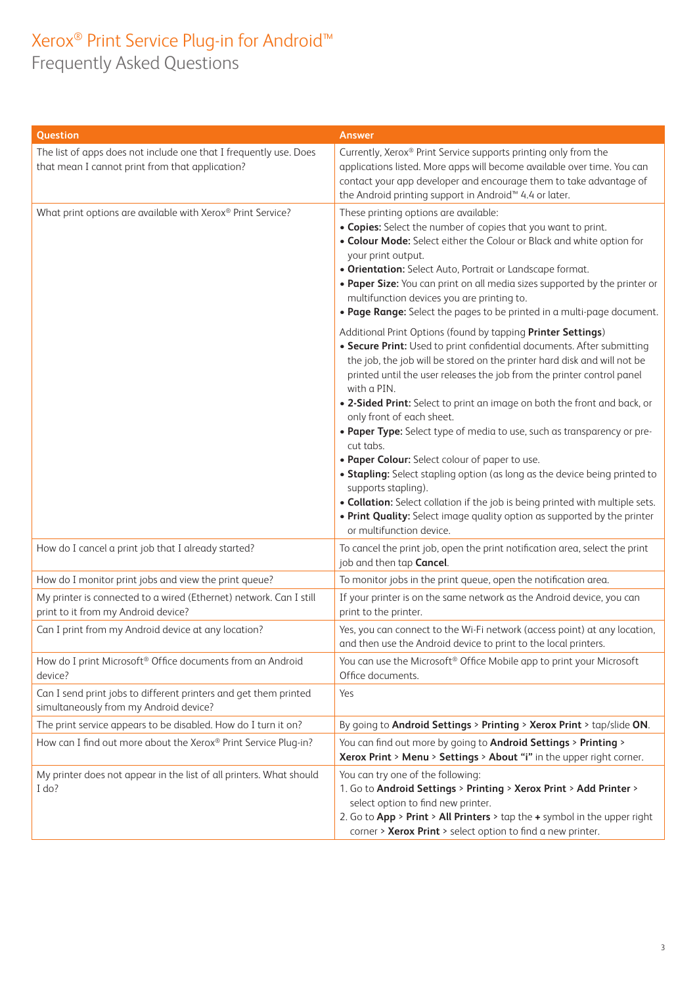## Xerox® Print Service Plug-in for Android™ Frequently Asked Questions

| Question                                                                                                             | <b>Answer</b>                                                                                                                                                                                                                                                                                                                                                                                                                                                                                                                                                                                                                                                                                                                                                                                                                                                |
|----------------------------------------------------------------------------------------------------------------------|--------------------------------------------------------------------------------------------------------------------------------------------------------------------------------------------------------------------------------------------------------------------------------------------------------------------------------------------------------------------------------------------------------------------------------------------------------------------------------------------------------------------------------------------------------------------------------------------------------------------------------------------------------------------------------------------------------------------------------------------------------------------------------------------------------------------------------------------------------------|
| The list of apps does not include one that I frequently use. Does<br>that mean I cannot print from that application? | Currently, Xerox® Print Service supports printing only from the<br>applications listed. More apps will become available over time. You can<br>contact your app developer and encourage them to take advantage of<br>the Android printing support in Android <sup>™</sup> 4.4 or later.                                                                                                                                                                                                                                                                                                                                                                                                                                                                                                                                                                       |
| What print options are available with Xerox® Print Service?                                                          | These printing options are available:<br>. Copies: Select the number of copies that you want to print.<br>. Colour Mode: Select either the Colour or Black and white option for<br>your print output.<br>. Orientation: Select Auto, Portrait or Landscape format.<br>. Paper Size: You can print on all media sizes supported by the printer or<br>multifunction devices you are printing to.<br>. Page Range: Select the pages to be printed in a multi-page document.                                                                                                                                                                                                                                                                                                                                                                                     |
|                                                                                                                      | Additional Print Options (found by tapping Printer Settings)<br>• Secure Print: Used to print confidential documents. After submitting<br>the job, the job will be stored on the printer hard disk and will not be<br>printed until the user releases the job from the printer control panel<br>with a PIN.<br>. 2-Sided Print: Select to print an image on both the front and back, or<br>only front of each sheet.<br>. Paper Type: Select type of media to use, such as transparency or pre-<br>cut tabs.<br>. Paper Colour: Select colour of paper to use.<br>• Stapling: Select stapling option (as long as the device being printed to<br>supports stapling).<br>. Collation: Select collation if the job is being printed with multiple sets.<br>. Print Quality: Select image quality option as supported by the printer<br>or multifunction device. |
| How do I cancel a print job that I already started?                                                                  | To cancel the print job, open the print notification area, select the print<br>job and then tap Cancel.                                                                                                                                                                                                                                                                                                                                                                                                                                                                                                                                                                                                                                                                                                                                                      |
| How do I monitor print jobs and view the print queue?                                                                | To monitor jobs in the print queue, open the notification area.                                                                                                                                                                                                                                                                                                                                                                                                                                                                                                                                                                                                                                                                                                                                                                                              |
| My printer is connected to a wired (Ethernet) network. Can I still<br>print to it from my Android device?            | If your printer is on the same network as the Android device, you can<br>print to the printer.                                                                                                                                                                                                                                                                                                                                                                                                                                                                                                                                                                                                                                                                                                                                                               |
| Can I print from my Android device at any location?                                                                  | Yes, you can connect to the Wi-Fi network (access point) at any location,<br>and then use the Android device to print to the local printers.                                                                                                                                                                                                                                                                                                                                                                                                                                                                                                                                                                                                                                                                                                                 |
| How do I print Microsoft <sup>®</sup> Office documents from an Android<br>device?                                    | You can use the Microsoft <sup>®</sup> Office Mobile app to print your Microsoft<br>Office documents.                                                                                                                                                                                                                                                                                                                                                                                                                                                                                                                                                                                                                                                                                                                                                        |
| Can I send print jobs to different printers and get them printed<br>simultaneously from my Android device?           | Yes                                                                                                                                                                                                                                                                                                                                                                                                                                                                                                                                                                                                                                                                                                                                                                                                                                                          |
| The print service appears to be disabled. How do I turn it on?                                                       | By going to Android Settings > Printing > Xerox Print > tap/slide ON.                                                                                                                                                                                                                                                                                                                                                                                                                                                                                                                                                                                                                                                                                                                                                                                        |
| How can I find out more about the Xerox® Print Service Plug-in?                                                      | You can find out more by going to Android Settings > Printing ><br>Xerox Print > Menu > Settings > About "i" in the upper right corner.                                                                                                                                                                                                                                                                                                                                                                                                                                                                                                                                                                                                                                                                                                                      |
| My printer does not appear in the list of all printers. What should<br>I do?                                         | You can try one of the following:<br>1. Go to Android Settings > Printing > Xerox Print > Add Printer ><br>select option to find new printer.<br>2. Go to App > Print > All Printers > tap the + symbol in the upper right<br>corner > Xerox Print > select option to find a new printer.                                                                                                                                                                                                                                                                                                                                                                                                                                                                                                                                                                    |